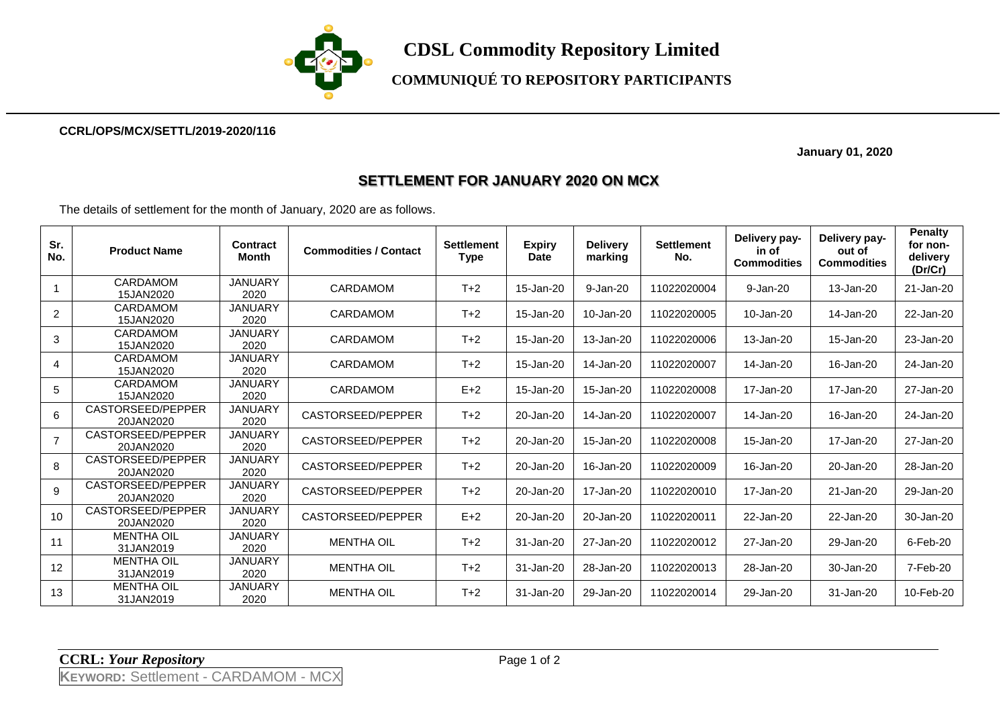

**COMMUNIQUÉ TO REPOSITORY PARTICIPANTS**

## **CCRL/OPS/MCX/SETTL/2019-2020/116**

 **January 01, 2020**

## **SETTLEMENT FOR JANUARY 2020 ON MCX**

The details of settlement for the month of January, 2020 are as follows.

| Sr.<br>No.     | <b>Product Name</b>            | <b>Contract</b><br>Month | <b>Commodities / Contact</b> | <b>Settlement</b><br><b>Type</b> | <b>Expiry</b><br><b>Date</b> | <b>Delivery</b><br>marking | <b>Settlement</b><br>No. | Delivery pay-<br>in of<br><b>Commodities</b> | Delivery pay-<br>out of<br><b>Commodities</b> | <b>Penalty</b><br>for non-<br>delivery<br>(Dr/Cr) |
|----------------|--------------------------------|--------------------------|------------------------------|----------------------------------|------------------------------|----------------------------|--------------------------|----------------------------------------------|-----------------------------------------------|---------------------------------------------------|
|                | CARDAMOM<br>15JAN2020          | <b>JANUARY</b><br>2020   | <b>CARDAMOM</b>              | $T+2$                            | 15-Jan-20                    | 9-Jan-20                   | 11022020004              | 9-Jan-20                                     | 13-Jan-20                                     | 21-Jan-20                                         |
| 2              | CARDAMOM<br>15JAN2020          | <b>JANUARY</b><br>2020   | <b>CARDAMOM</b>              | $T+2$                            | 15-Jan-20                    | 10-Jan-20                  | 11022020005              | 10-Jan-20                                    | 14-Jan-20                                     | 22-Jan-20                                         |
| 3              | <b>CARDAMOM</b><br>15JAN2020   | <b>JANUARY</b><br>2020   | <b>CARDAMOM</b>              | $T+2$                            | 15-Jan-20                    | 13-Jan-20                  | 11022020006              | 13-Jan-20                                    | 15-Jan-20                                     | 23-Jan-20                                         |
| 4              | CARDAMOM<br>15JAN2020          | <b>JANUARY</b><br>2020   | <b>CARDAMOM</b>              | $T+2$                            | 15-Jan-20                    | 14-Jan-20                  | 11022020007              | 14-Jan-20                                    | 16-Jan-20                                     | 24-Jan-20                                         |
| 5              | <b>CARDAMOM</b><br>15JAN2020   | <b>JANUARY</b><br>2020   | <b>CARDAMOM</b>              | $E+2$                            | 15-Jan-20                    | 15-Jan-20                  | 11022020008              | 17-Jan-20                                    | 17-Jan-20                                     | 27-Jan-20                                         |
| 6              | CASTORSEED/PEPPER<br>20JAN2020 | <b>JANUARY</b><br>2020   | CASTORSEED/PEPPER            | $T+2$                            | 20-Jan-20                    | 14-Jan-20                  | 11022020007              | 14-Jan-20                                    | 16-Jan-20                                     | 24-Jan-20                                         |
| $\overline{7}$ | CASTORSEED/PEPPER<br>20JAN2020 | <b>JANUARY</b><br>2020   | CASTORSEED/PEPPER            | $T+2$                            | 20-Jan-20                    | 15-Jan-20                  | 11022020008              | 15-Jan-20                                    | 17-Jan-20                                     | 27-Jan-20                                         |
| 8              | CASTORSEED/PEPPER<br>20JAN2020 | <b>JANUARY</b><br>2020   | CASTORSEED/PEPPER            | $T+2$                            | 20-Jan-20                    | 16-Jan-20                  | 11022020009              | 16-Jan-20                                    | 20-Jan-20                                     | 28-Jan-20                                         |
| 9              | CASTORSEED/PEPPER<br>20JAN2020 | <b>JANUARY</b><br>2020   | CASTORSEED/PEPPER            | $T+2$                            | 20-Jan-20                    | 17-Jan-20                  | 11022020010              | 17-Jan-20                                    | 21-Jan-20                                     | 29-Jan-20                                         |
| 10             | CASTORSEED/PEPPER<br>20JAN2020 | <b>JANUARY</b><br>2020   | CASTORSEED/PEPPER            | $E+2$                            | 20-Jan-20                    | 20-Jan-20                  | 11022020011              | 22-Jan-20                                    | 22-Jan-20                                     | 30-Jan-20                                         |
| 11             | <b>MENTHA OIL</b><br>31JAN2019 | <b>JANUARY</b><br>2020   | <b>MENTHA OIL</b>            | $T+2$                            | 31-Jan-20                    | 27-Jan-20                  | 11022020012              | 27-Jan-20                                    | 29-Jan-20                                     | 6-Feb-20                                          |
| 12             | <b>MENTHA OIL</b><br>31JAN2019 | <b>JANUARY</b><br>2020   | <b>MENTHA OIL</b>            | $T+2$                            | 31-Jan-20                    | 28-Jan-20                  | 11022020013              | 28-Jan-20                                    | 30-Jan-20                                     | 7-Feb-20                                          |
| 13             | <b>MENTHA OIL</b><br>31JAN2019 | <b>JANUARY</b><br>2020   | <b>MENTHA OIL</b>            | $T+2$                            | 31-Jan-20                    | 29-Jan-20                  | 11022020014              | 29-Jan-20                                    | 31-Jan-20                                     | 10-Feb-20                                         |

**CCRL:** *Your Repository* Page 1 of 2